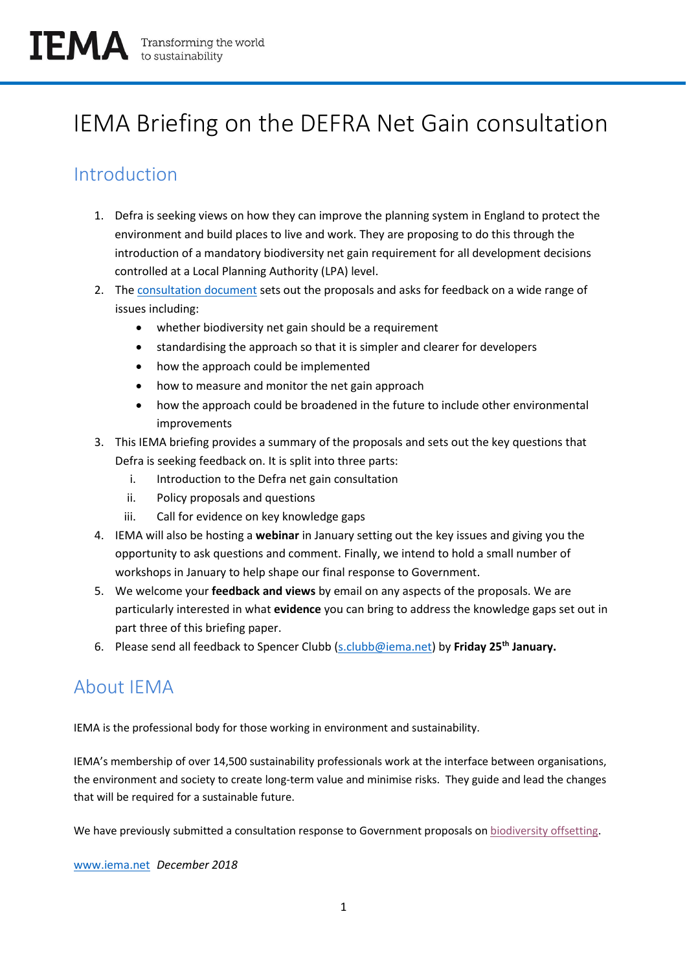# IEMA Briefing on the DEFRA Net Gain consultation

# Introduction

- 1. Defra is seeking views on how they can improve the planning system in England to protect the environment and build places to live and work. They are proposing to do this through the introduction of a mandatory biodiversity net gain requirement for all development decisions controlled at a Local Planning Authority (LPA) level.
- 2. The [consultation document](https://consult.defra.gov.uk/land-use/net-gain/) sets out the proposals and asks for feedback on a wide range of issues including:
	- whether biodiversity net gain should be a requirement
	- standardising the approach so that it is simpler and clearer for developers
	- how the approach could be implemented
	- how to measure and monitor the net gain approach
	- how the approach could be broadened in the future to include other environmental improvements
- 3. This IEMA briefing provides a summary of the proposals and sets out the key questions that Defra is seeking feedback on. It is split into three parts:
	- i. Introduction to the Defra net gain consultation
	- ii. Policy proposals and questions
	- iii. Call for evidence on key knowledge gaps
- 4. IEMA will also be hosting a **webinar** in January setting out the key issues and giving you the opportunity to ask questions and comment. Finally, we intend to hold a small number of workshops in January to help shape our final response to Government.
- 5. We welcome your **feedback and views** by email on any aspects of the proposals. We are particularly interested in what **evidence** you can bring to address the knowledge gaps set out in part three of this briefing paper.
- 6. Please send all feedback to Spencer Clubb [\(s.clubb@iema.net\)](mailto:s.clubb@iema.net) by **Friday 25th January.**

# About IEMA

IEMA is the professional body for those working in environment and sustainability.

IEMA's membership of over 14,500 sustainability professionals work at the interface between organisations, the environment and society to create long-term value and minimise risks. They guide and lead the changes that will be required for a sustainable future.

We have previously submitted a consultation response to Government proposals on [biodiversity offsetting.](https://www.iema.net/reading-room/2016/01/12/iemas-response-to-biodiversity-offsetting-in-england-green-paper-november-2013/)

[www.iema.net](http://www.iema.net/) *December 2018*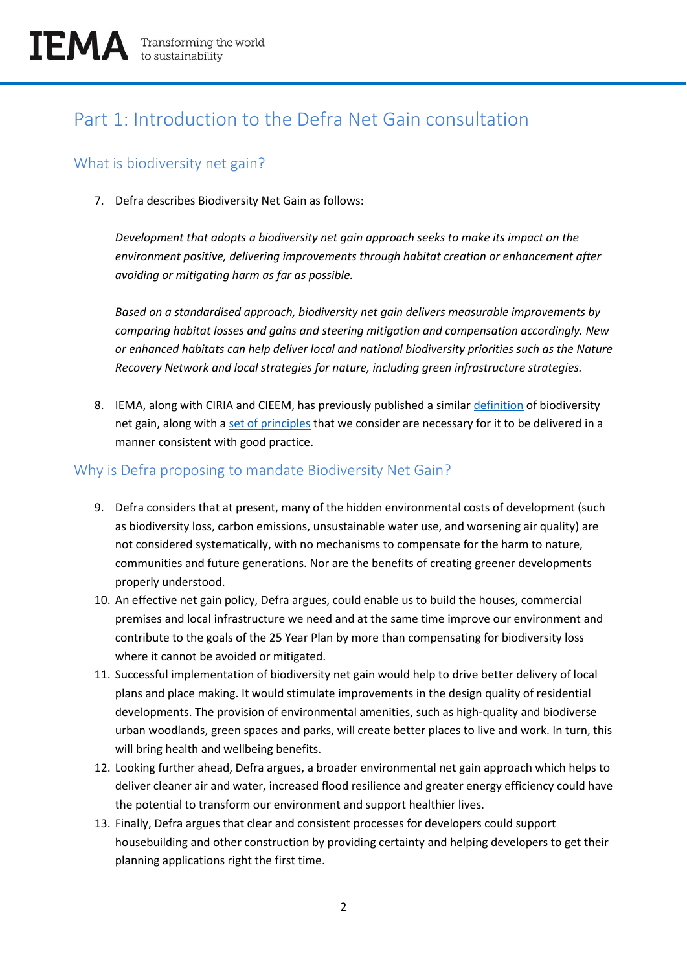# Part 1: Introduction to the Defra Net Gain consultation

#### What is biodiversity net gain?

7. Defra describes Biodiversity Net Gain as follows:

*Development that adopts a biodiversity net gain approach seeks to make its impact on the environment positive, delivering improvements through habitat creation or enhancement after avoiding or mitigating harm as far as possible.* 

*Based on a standardised approach, biodiversity net gain delivers measurable improvements by comparing habitat losses and gains and steering mitigation and compensation accordingly. New or enhanced habitats can help deliver local and national biodiversity priorities such as the Nature Recovery Network and local strategies for nature, including green infrastructure strategies.*

8. IEMA, along with CIRIA and CIEEM, has previously published a similar [definition](https://www.iema.net/policy/natural-environment/principles-and-guidance) of biodiversity net gain, along with a [set of principles](https://www.iema.net/policy/natural-environment/principles-and-guidance) that we consider are necessary for it to be delivered in a manner consistent with good practice.

#### Why is Defra proposing to mandate Biodiversity Net Gain?

- 9. Defra considers that at present, many of the hidden environmental costs of development (such as biodiversity loss, carbon emissions, unsustainable water use, and worsening air quality) are not considered systematically, with no mechanisms to compensate for the harm to nature, communities and future generations. Nor are the benefits of creating greener developments properly understood.
- 10. An effective net gain policy, Defra argues, could enable us to build the houses, commercial premises and local infrastructure we need and at the same time improve our environment and contribute to the goals of the 25 Year Plan by more than compensating for biodiversity loss where it cannot be avoided or mitigated.
- 11. Successful implementation of biodiversity net gain would help to drive better delivery of local plans and place making. It would stimulate improvements in the design quality of residential developments. The provision of environmental amenities, such as high-quality and biodiverse urban woodlands, green spaces and parks, will create better places to live and work. In turn, this will bring health and wellbeing benefits.
- 12. Looking further ahead, Defra argues, a broader environmental net gain approach which helps to deliver cleaner air and water, increased flood resilience and greater energy efficiency could have the potential to transform our environment and support healthier lives.
- 13. Finally, Defra argues that clear and consistent processes for developers could support housebuilding and other construction by providing certainty and helping developers to get their planning applications right the first time.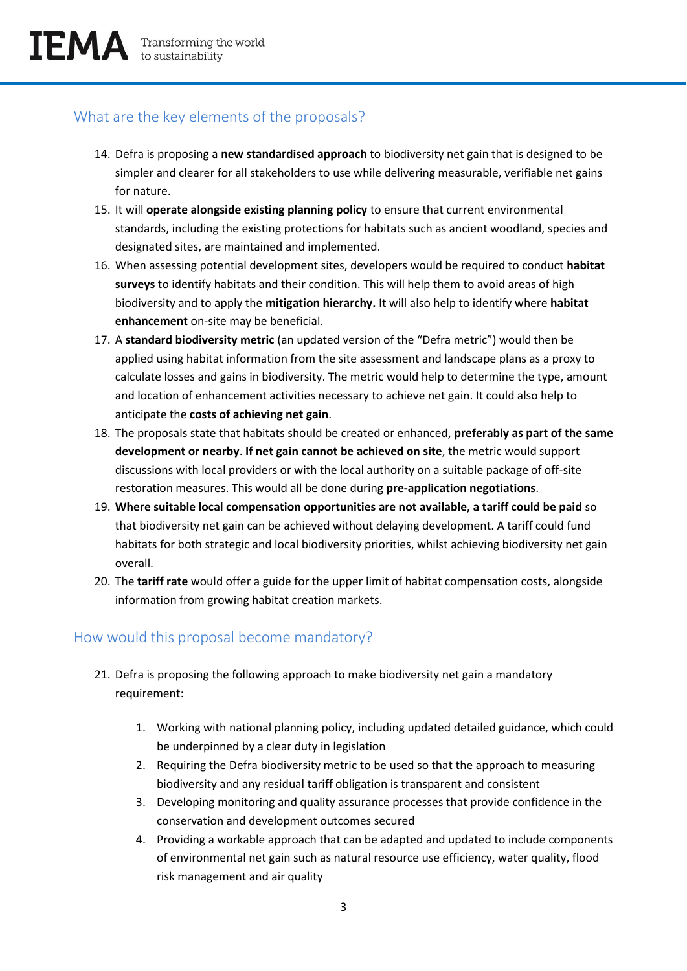#### What are the key elements of the proposals?

- 14. Defra is proposing a **new standardised approach** to biodiversity net gain that is designed to be simpler and clearer for all stakeholders to use while delivering measurable, verifiable net gains for nature.
- 15. It will **operate alongside existing planning policy** to ensure that current environmental standards, including the existing protections for habitats such as ancient woodland, species and designated sites, are maintained and implemented.
- 16. When assessing potential development sites, developers would be required to conduct **habitat surveys** to identify habitats and their condition. This will help them to avoid areas of high biodiversity and to apply the **mitigation hierarchy.** It will also help to identify where **habitat enhancement** on-site may be beneficial.
- 17. A **standard biodiversity metric** (an updated version of the "Defra metric") would then be applied using habitat information from the site assessment and landscape plans as a proxy to calculate losses and gains in biodiversity. The metric would help to determine the type, amount and location of enhancement activities necessary to achieve net gain. It could also help to anticipate the **costs of achieving net gain**.
- 18. The proposals state that habitats should be created or enhanced, **preferably as part of the same development or nearby**. **If net gain cannot be achieved on site**, the metric would support discussions with local providers or with the local authority on a suitable package of off-site restoration measures. This would all be done during **pre-application negotiations**.
- 19. **Where suitable local compensation opportunities are not available, a tariff could be paid** so that biodiversity net gain can be achieved without delaying development. A tariff could fund habitats for both strategic and local biodiversity priorities, whilst achieving biodiversity net gain overall.
- 20. The **tariff rate** would offer a guide for the upper limit of habitat compensation costs, alongside information from growing habitat creation markets.

#### How would this proposal become mandatory?

- 21. Defra is proposing the following approach to make biodiversity net gain a mandatory requirement:
	- 1. Working with national planning policy, including updated detailed guidance, which could be underpinned by a clear duty in legislation
	- 2. Requiring the Defra biodiversity metric to be used so that the approach to measuring biodiversity and any residual tariff obligation is transparent and consistent
	- 3. Developing monitoring and quality assurance processes that provide confidence in the conservation and development outcomes secured
	- 4. Providing a workable approach that can be adapted and updated to include components of environmental net gain such as natural resource use efficiency, water quality, flood risk management and air quality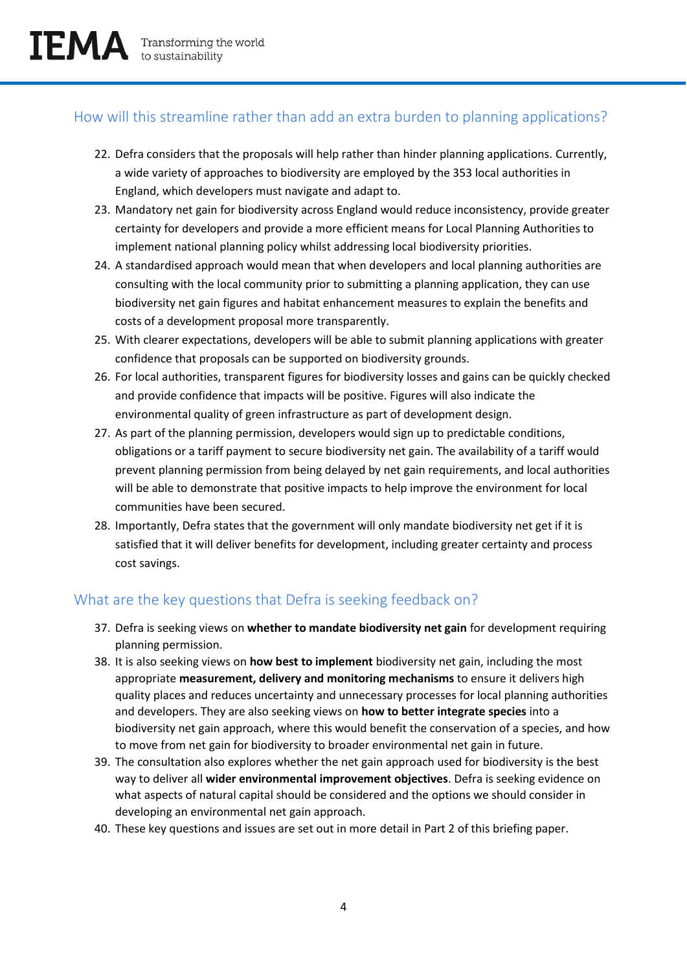#### How will this streamline rather than add an extra burden to planning applications?

- 22. Defra considers that the proposals will help rather than hinder planning applications. Currently, a wide variety of approaches to biodiversity are employed by the 353 local authorities in England, which developers must navigate and adapt to.
- 23. Mandatory net gain for biodiversity across England would reduce inconsistency, provide greater certainty for developers and provide a more efficient means for Local Planning Authorities to implement national planning policy whilst addressing local biodiversity priorities.
- 24. A standardised approach would mean that when developers and local planning authorities are consulting with the local community prior to submitting a planning application, they can use biodiversity net gain figures and habitat enhancement measures to explain the benefits and costs of a development proposal more transparently.
- 25. With clearer expectations, developers will be able to submit planning applications with greater confidence that proposals can be supported on biodiversity grounds.
- 26. For local authorities, transparent figures for biodiversity losses and gains can be quickly checked and provide confidence that impacts will be positive. Figures will also indicate the environmental quality of green infrastructure as part of development design.
- 27. As part of the planning permission, developers would sign up to predictable conditions, obligations or a tariff payment to secure biodiversity net gain. The availability of a tariff would prevent planning permission from being delayed by net gain requirements, and local authorities will be able to demonstrate that positive impacts to help improve the environment for local communities have been secured.
- 28. Importantly, Defra states that the government will only mandate biodiversity net get if it is satisfied that it will deliver benefits for development, including greater certainty and process cost savings.

#### What are the key questions that Defra is seeking feedback on?

- 37. Defra is seeking views on **whether to mandate biodiversity net gain** for development requiring planning permission.
- 38. It is also seeking views on **how best to implement** biodiversity net gain, including the most appropriate **measurement, delivery and monitoring mechanisms** to ensure it delivers high quality places and reduces uncertainty and unnecessary processes for local planning authorities and developers. They are also seeking views on **how to better integrate species** into a biodiversity net gain approach, where this would benefit the conservation of a species, and how to move from net gain for biodiversity to broader environmental net gain in future.
- 39. The consultation also explores whether the net gain approach used for biodiversity is the best way to deliver all **wider environmental improvement objectives**. Defra is seeking evidence on what aspects of natural capital should be considered and the options we should consider in developing an environmental net gain approach.
- 40. These key questions and issues are set out in more detail in Part 2 of this briefing paper.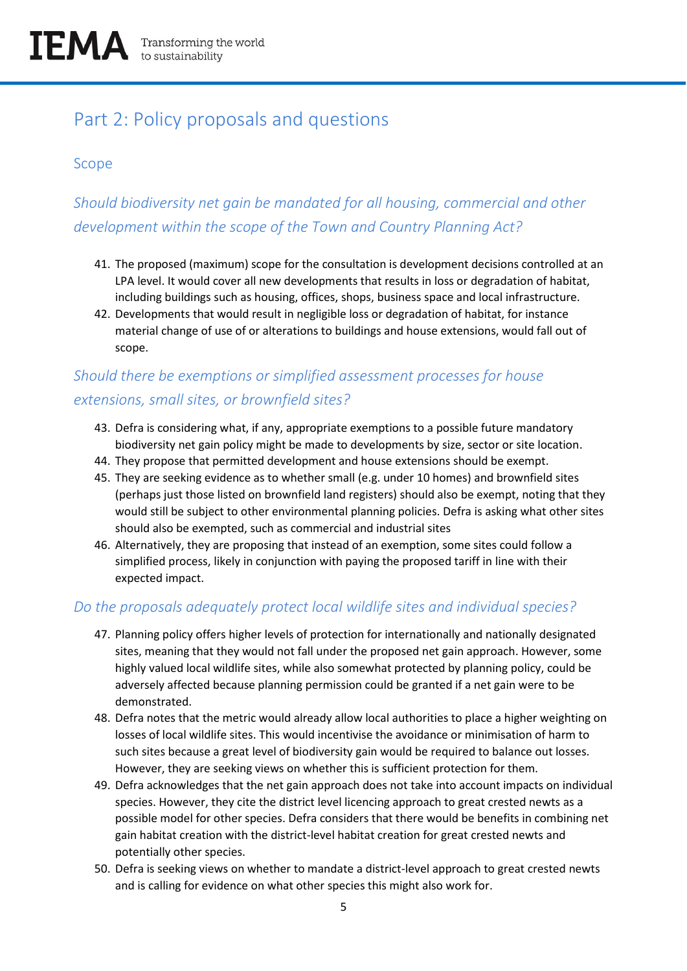# Part 2: Policy proposals and questions

#### Scope

# *Should biodiversity net gain be mandated for all housing, commercial and other development within the scope of the Town and Country Planning Act?*

- 41. The proposed (maximum) scope for the consultation is development decisions controlled at an LPA level. It would cover all new developments that results in loss or degradation of habitat, including buildings such as housing, offices, shops, business space and local infrastructure.
- 42. Developments that would result in negligible loss or degradation of habitat, for instance material change of use of or alterations to buildings and house extensions, would fall out of scope.

### *Should there be exemptions or simplified assessment processes for house extensions, small sites, or brownfield sites?*

- 43. Defra is considering what, if any, appropriate exemptions to a possible future mandatory biodiversity net gain policy might be made to developments by size, sector or site location.
- 44. They propose that permitted development and house extensions should be exempt.
- 45. They are seeking evidence as to whether small (e.g. under 10 homes) and brownfield sites (perhaps just those listed on brownfield land registers) should also be exempt, noting that they would still be subject to other environmental planning policies. Defra is asking what other sites should also be exempted, such as commercial and industrial sites
- 46. Alternatively, they are proposing that instead of an exemption, some sites could follow a simplified process, likely in conjunction with paying the proposed tariff in line with their expected impact.

#### *Do the proposals adequately protect local wildlife sites and individual species?*

- 47. Planning policy offers higher levels of protection for internationally and nationally designated sites, meaning that they would not fall under the proposed net gain approach. However, some highly valued local wildlife sites, while also somewhat protected by planning policy, could be adversely affected because planning permission could be granted if a net gain were to be demonstrated.
- 48. Defra notes that the metric would already allow local authorities to place a higher weighting on losses of local wildlife sites. This would incentivise the avoidance or minimisation of harm to such sites because a great level of biodiversity gain would be required to balance out losses. However, they are seeking views on whether this is sufficient protection for them.
- 49. Defra acknowledges that the net gain approach does not take into account impacts on individual species. However, they cite the district level licencing approach to great crested newts as a possible model for other species. Defra considers that there would be benefits in combining net gain habitat creation with the district-level habitat creation for great crested newts and potentially other species.
- 50. Defra is seeking views on whether to mandate a district-level approach to great crested newts and is calling for evidence on what other species this might also work for.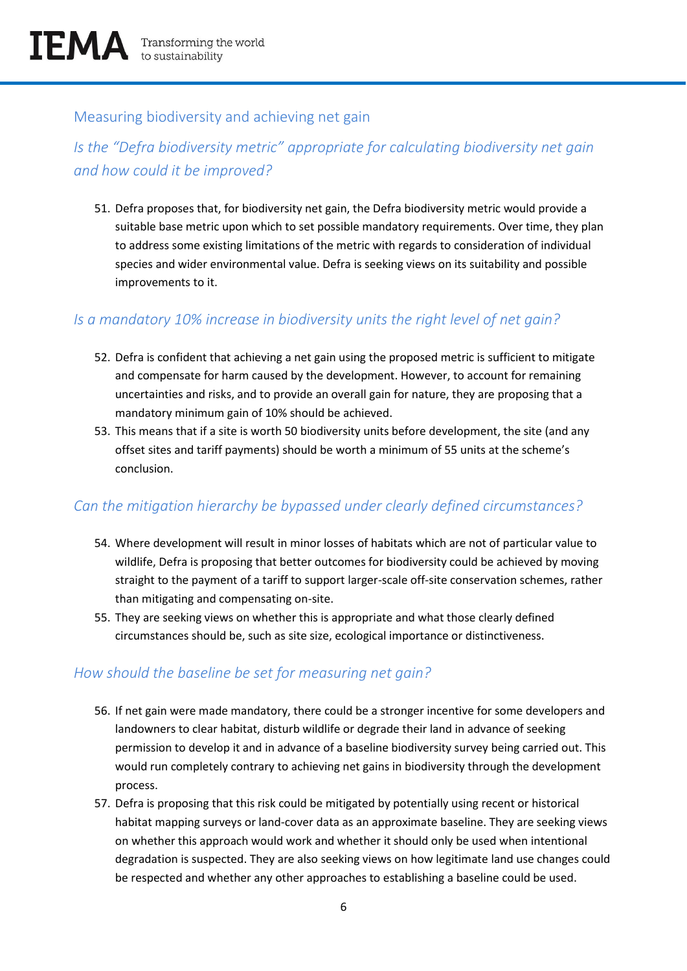#### Measuring biodiversity and achieving net gain

# *Is the "Defra biodiversity metric" appropriate for calculating biodiversity net gain and how could it be improved?*

51. Defra proposes that, for biodiversity net gain, the Defra biodiversity metric would provide a suitable base metric upon which to set possible mandatory requirements. Over time, they plan to address some existing limitations of the metric with regards to consideration of individual species and wider environmental value. Defra is seeking views on its suitability and possible improvements to it.

#### *Is a mandatory 10% increase in biodiversity units the right level of net gain?*

- 52. Defra is confident that achieving a net gain using the proposed metric is sufficient to mitigate and compensate for harm caused by the development. However, to account for remaining uncertainties and risks, and to provide an overall gain for nature, they are proposing that a mandatory minimum gain of 10% should be achieved.
- 53. This means that if a site is worth 50 biodiversity units before development, the site (and any offset sites and tariff payments) should be worth a minimum of 55 units at the scheme's conclusion.

#### *Can the mitigation hierarchy be bypassed under clearly defined circumstances?*

- 54. Where development will result in minor losses of habitats which are not of particular value to wildlife, Defra is proposing that better outcomes for biodiversity could be achieved by moving straight to the payment of a tariff to support larger-scale off-site conservation schemes, rather than mitigating and compensating on-site.
- 55. They are seeking views on whether this is appropriate and what those clearly defined circumstances should be, such as site size, ecological importance or distinctiveness.

#### *How should the baseline be set for measuring net gain?*

- 56. If net gain were made mandatory, there could be a stronger incentive for some developers and landowners to clear habitat, disturb wildlife or degrade their land in advance of seeking permission to develop it and in advance of a baseline biodiversity survey being carried out. This would run completely contrary to achieving net gains in biodiversity through the development process.
- 57. Defra is proposing that this risk could be mitigated by potentially using recent or historical habitat mapping surveys or land-cover data as an approximate baseline. They are seeking views on whether this approach would work and whether it should only be used when intentional degradation is suspected. They are also seeking views on how legitimate land use changes could be respected and whether any other approaches to establishing a baseline could be used.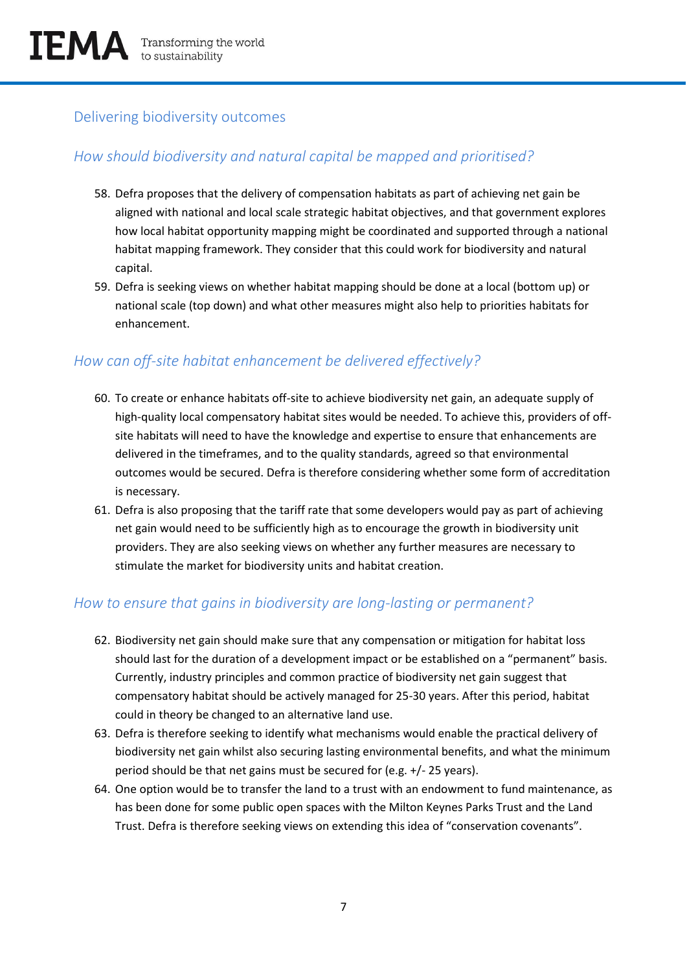#### Delivering biodiversity outcomes

#### *How should biodiversity and natural capital be mapped and prioritised?*

- 58. Defra proposes that the delivery of compensation habitats as part of achieving net gain be aligned with national and local scale strategic habitat objectives, and that government explores how local habitat opportunity mapping might be coordinated and supported through a national habitat mapping framework. They consider that this could work for biodiversity and natural capital.
- 59. Defra is seeking views on whether habitat mapping should be done at a local (bottom up) or national scale (top down) and what other measures might also help to priorities habitats for enhancement.

#### *How can off-site habitat enhancement be delivered effectively?*

- 60. To create or enhance habitats off-site to achieve biodiversity net gain, an adequate supply of high-quality local compensatory habitat sites would be needed. To achieve this, providers of offsite habitats will need to have the knowledge and expertise to ensure that enhancements are delivered in the timeframes, and to the quality standards, agreed so that environmental outcomes would be secured. Defra is therefore considering whether some form of accreditation is necessary.
- 61. Defra is also proposing that the tariff rate that some developers would pay as part of achieving net gain would need to be sufficiently high as to encourage the growth in biodiversity unit providers. They are also seeking views on whether any further measures are necessary to stimulate the market for biodiversity units and habitat creation.

#### *How to ensure that gains in biodiversity are long-lasting or permanent?*

- 62. Biodiversity net gain should make sure that any compensation or mitigation for habitat loss should last for the duration of a development impact or be established on a "permanent" basis. Currently, industry principles and common practice of biodiversity net gain suggest that compensatory habitat should be actively managed for 25-30 years. After this period, habitat could in theory be changed to an alternative land use.
- 63. Defra is therefore seeking to identify what mechanisms would enable the practical delivery of biodiversity net gain whilst also securing lasting environmental benefits, and what the minimum period should be that net gains must be secured for (e.g. +/- 25 years).
- 64. One option would be to transfer the land to a trust with an endowment to fund maintenance, as has been done for some public open spaces with the Milton Keynes Parks Trust and the Land Trust. Defra is therefore seeking views on extending this idea of "conservation covenants".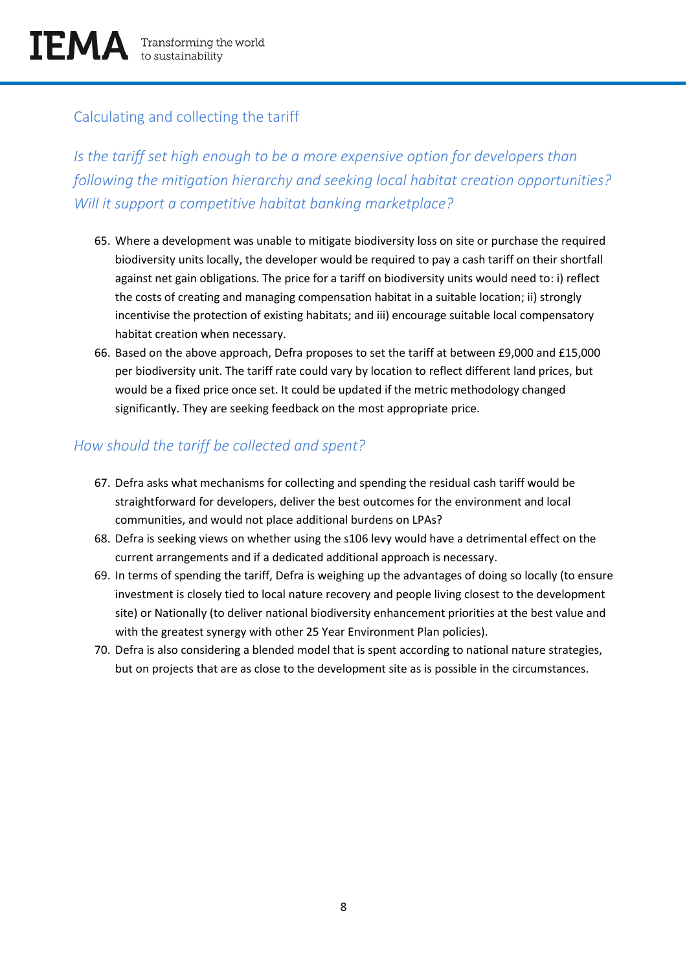### Calculating and collecting the tariff

*Is the tariff set high enough to be a more expensive option for developers than following the mitigation hierarchy and seeking local habitat creation opportunities? Will it support a competitive habitat banking marketplace?* 

- 65. Where a development was unable to mitigate biodiversity loss on site or purchase the required biodiversity units locally, the developer would be required to pay a cash tariff on their shortfall against net gain obligations. The price for a tariff on biodiversity units would need to: i) reflect the costs of creating and managing compensation habitat in a suitable location; ii) strongly incentivise the protection of existing habitats; and iii) encourage suitable local compensatory habitat creation when necessary.
- 66. Based on the above approach, Defra proposes to set the tariff at between £9,000 and £15,000 per biodiversity unit. The tariff rate could vary by location to reflect different land prices, but would be a fixed price once set. It could be updated if the metric methodology changed significantly. They are seeking feedback on the most appropriate price.

#### *How should the tariff be collected and spent?*

- 67. Defra asks what mechanisms for collecting and spending the residual cash tariff would be straightforward for developers, deliver the best outcomes for the environment and local communities, and would not place additional burdens on LPAs?
- 68. Defra is seeking views on whether using the s106 levy would have a detrimental effect on the current arrangements and if a dedicated additional approach is necessary.
- 69. In terms of spending the tariff, Defra is weighing up the advantages of doing so locally (to ensure investment is closely tied to local nature recovery and people living closest to the development site) or Nationally (to deliver national biodiversity enhancement priorities at the best value and with the greatest synergy with other 25 Year Environment Plan policies).
- 70. Defra is also considering a blended model that is spent according to national nature strategies, but on projects that are as close to the development site as is possible in the circumstances.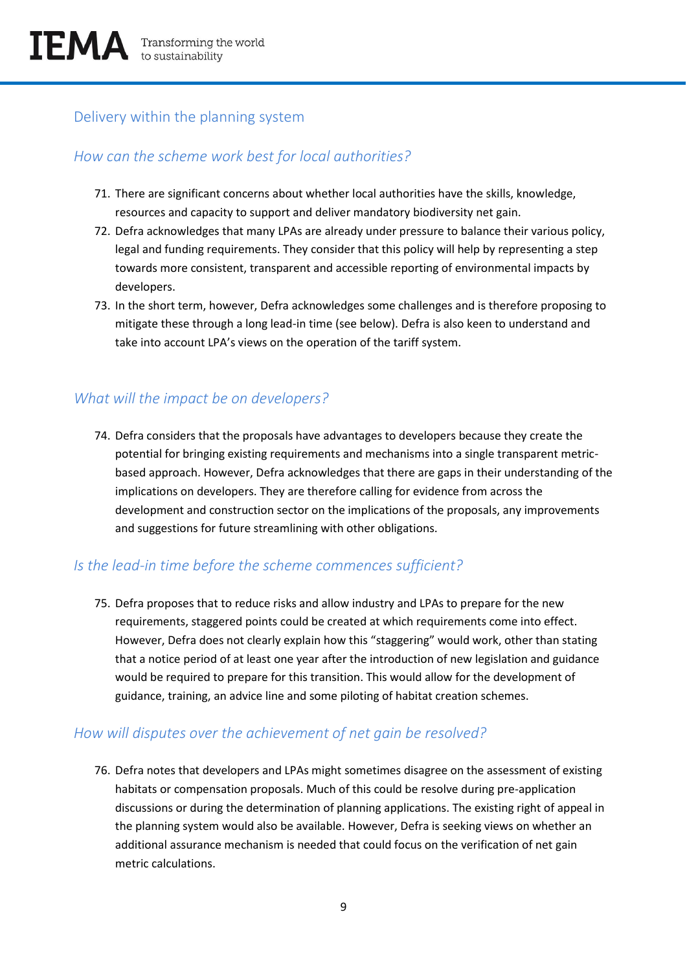#### Delivery within the planning system

#### *How can the scheme work best for local authorities?*

- 71. There are significant concerns about whether local authorities have the skills, knowledge, resources and capacity to support and deliver mandatory biodiversity net gain.
- 72. Defra acknowledges that many LPAs are already under pressure to balance their various policy, legal and funding requirements. They consider that this policy will help by representing a step towards more consistent, transparent and accessible reporting of environmental impacts by developers.
- 73. In the short term, however, Defra acknowledges some challenges and is therefore proposing to mitigate these through a long lead-in time (see below). Defra is also keen to understand and take into account LPA's views on the operation of the tariff system.

#### *What will the impact be on developers?*

74. Defra considers that the proposals have advantages to developers because they create the potential for bringing existing requirements and mechanisms into a single transparent metricbased approach. However, Defra acknowledges that there are gaps in their understanding of the implications on developers. They are therefore calling for evidence from across the development and construction sector on the implications of the proposals, any improvements and suggestions for future streamlining with other obligations.

#### *Is the lead-in time before the scheme commences sufficient?*

75. Defra proposes that to reduce risks and allow industry and LPAs to prepare for the new requirements, staggered points could be created at which requirements come into effect. However, Defra does not clearly explain how this "staggering" would work, other than stating that a notice period of at least one year after the introduction of new legislation and guidance would be required to prepare for this transition. This would allow for the development of guidance, training, an advice line and some piloting of habitat creation schemes.

#### *How will disputes over the achievement of net gain be resolved?*

76. Defra notes that developers and LPAs might sometimes disagree on the assessment of existing habitats or compensation proposals. Much of this could be resolve during pre-application discussions or during the determination of planning applications. The existing right of appeal in the planning system would also be available. However, Defra is seeking views on whether an additional assurance mechanism is needed that could focus on the verification of net gain metric calculations.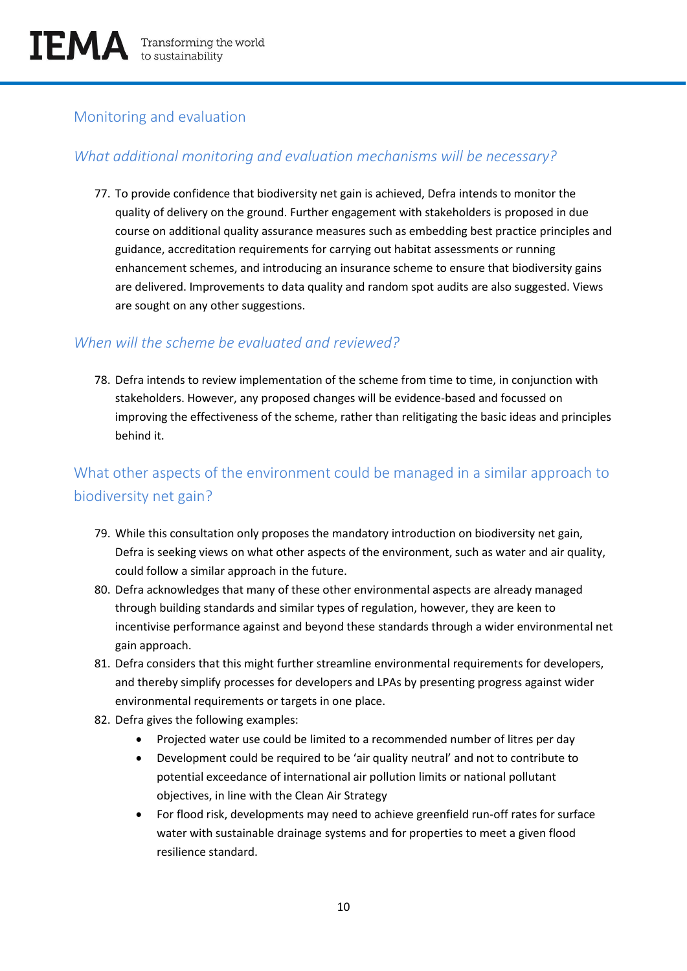#### Monitoring and evaluation

#### *What additional monitoring and evaluation mechanisms will be necessary?*

77. To provide confidence that biodiversity net gain is achieved, Defra intends to monitor the quality of delivery on the ground. Further engagement with stakeholders is proposed in due course on additional quality assurance measures such as embedding best practice principles and guidance, accreditation requirements for carrying out habitat assessments or running enhancement schemes, and introducing an insurance scheme to ensure that biodiversity gains are delivered. Improvements to data quality and random spot audits are also suggested. Views are sought on any other suggestions.

#### *When will the scheme be evaluated and reviewed?*

78. Defra intends to review implementation of the scheme from time to time, in conjunction with stakeholders. However, any proposed changes will be evidence-based and focussed on improving the effectiveness of the scheme, rather than relitigating the basic ideas and principles behind it.

# What other aspects of the environment could be managed in a similar approach to biodiversity net gain?

- 79. While this consultation only proposes the mandatory introduction on biodiversity net gain, Defra is seeking views on what other aspects of the environment, such as water and air quality, could follow a similar approach in the future.
- 80. Defra acknowledges that many of these other environmental aspects are already managed through building standards and similar types of regulation, however, they are keen to incentivise performance against and beyond these standards through a wider environmental net gain approach.
- 81. Defra considers that this might further streamline environmental requirements for developers, and thereby simplify processes for developers and LPAs by presenting progress against wider environmental requirements or targets in one place.
- 82. Defra gives the following examples:
	- Projected water use could be limited to a recommended number of litres per day
	- Development could be required to be 'air quality neutral' and not to contribute to potential exceedance of international air pollution limits or national pollutant objectives, in line with the Clean Air Strategy
	- For flood risk, developments may need to achieve greenfield run-off rates for surface water with sustainable drainage systems and for properties to meet a given flood resilience standard.